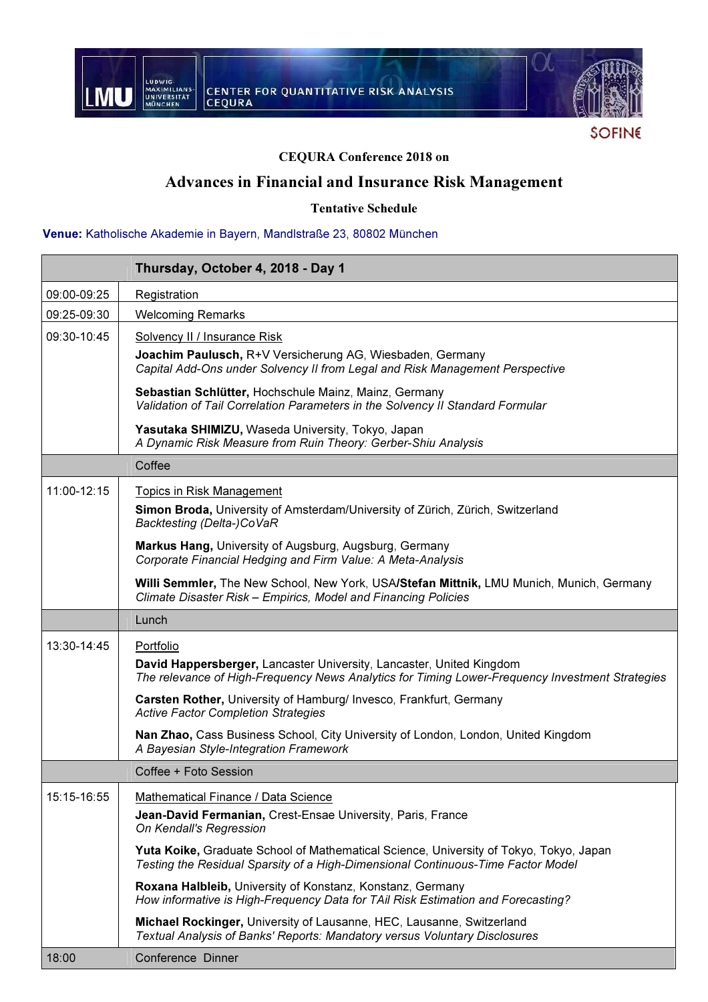

**SOFINE** 

### CEQURA Conference 2018 on

## Advances in Financial and Insurance Risk Management

Tentative Schedule

### Venue: Katholische Akademie in Bayern, Mandlstraße 23, 80802 München

|             | Thursday, October 4, 2018 - Day 1                                                                                                                                          |
|-------------|----------------------------------------------------------------------------------------------------------------------------------------------------------------------------|
| 09:00-09:25 | Registration                                                                                                                                                               |
| 09:25-09:30 | <b>Welcoming Remarks</b>                                                                                                                                                   |
| 09:30-10:45 | Solvency II / Insurance Risk                                                                                                                                               |
|             | Joachim Paulusch, R+V Versicherung AG, Wiesbaden, Germany<br>Capital Add-Ons under Solvency II from Legal and Risk Management Perspective                                  |
|             | Sebastian Schlütter, Hochschule Mainz, Mainz, Germany<br>Validation of Tail Correlation Parameters in the Solvency II Standard Formular                                    |
|             | Yasutaka SHIMIZU, Waseda University, Tokyo, Japan<br>A Dynamic Risk Measure from Ruin Theory: Gerber-Shiu Analysis                                                         |
|             | Coffee                                                                                                                                                                     |
| 11:00-12:15 | Topics in Risk Management                                                                                                                                                  |
|             | Simon Broda, University of Amsterdam/University of Zürich, Zürich, Switzerland<br>Backtesting (Delta-)CoVaR                                                                |
|             | Markus Hang, University of Augsburg, Augsburg, Germany<br>Corporate Financial Hedging and Firm Value: A Meta-Analysis                                                      |
|             | Willi Semmler, The New School, New York, USA/Stefan Mittnik, LMU Munich, Munich, Germany<br>Climate Disaster Risk - Empirics, Model and Financing Policies                 |
|             | Lunch                                                                                                                                                                      |
| 13:30-14:45 | Portfolio                                                                                                                                                                  |
|             | David Happersberger, Lancaster University, Lancaster, United Kingdom<br>The relevance of High-Frequency News Analytics for Timing Lower-Frequency Investment Strategies    |
|             | Carsten Rother, University of Hamburg/ Invesco, Frankfurt, Germany<br><b>Active Factor Completion Strategies</b>                                                           |
|             | Nan Zhao, Cass Business School, City University of London, London, United Kingdom<br>A Bayesian Style-Integration Framework                                                |
|             | Coffee + Foto Session                                                                                                                                                      |
| 15:15-16:55 | Mathematical Finance / Data Science                                                                                                                                        |
|             | Jean-David Fermanian, Crest-Ensae University, Paris, France<br>On Kendall's Regression                                                                                     |
|             | Yuta Koike, Graduate School of Mathematical Science, University of Tokyo, Tokyo, Japan<br>Testing the Residual Sparsity of a High-Dimensional Continuous-Time Factor Model |
|             | Roxana Halbleib, University of Konstanz, Konstanz, Germany<br>How informative is High-Frequency Data for TAil Risk Estimation and Forecasting?                             |
|             | Michael Rockinger, University of Lausanne, HEC, Lausanne, Switzerland<br>Textual Analysis of Banks' Reports: Mandatory versus Voluntary Disclosures                        |
| 18:00       | Conference Dinner                                                                                                                                                          |